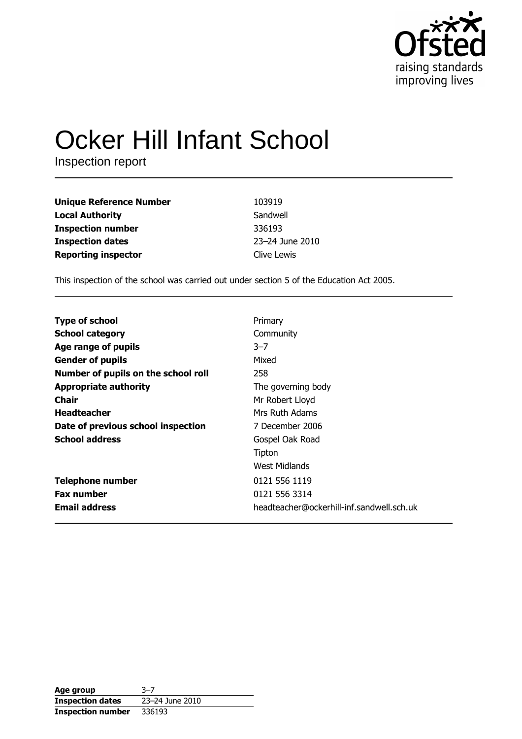

# **Ocker Hill Infant School**

Inspection report

| <b>Unique Reference Number</b> | 103919          |
|--------------------------------|-----------------|
| <b>Local Authority</b>         | Sandwell        |
| <b>Inspection number</b>       | 336193          |
| <b>Inspection dates</b>        | 23-24 June 2010 |
| <b>Reporting inspector</b>     | Clive Lewis     |

This inspection of the school was carried out under section 5 of the Education Act 2005.

| <b>Type of school</b>               | Primary                                   |
|-------------------------------------|-------------------------------------------|
| <b>School category</b>              | Community                                 |
| Age range of pupils                 | $3 - 7$                                   |
| <b>Gender of pupils</b>             | Mixed                                     |
| Number of pupils on the school roll | 258                                       |
| <b>Appropriate authority</b>        | The governing body                        |
| Chair                               | Mr Robert Lloyd                           |
| <b>Headteacher</b>                  | Mrs Ruth Adams                            |
| Date of previous school inspection  | 7 December 2006                           |
| <b>School address</b>               | Gospel Oak Road                           |
|                                     | Tipton                                    |
|                                     | West Midlands                             |
| <b>Telephone number</b>             | 0121 556 1119                             |
| <b>Fax number</b>                   | 0121 556 3314                             |
| <b>Email address</b>                | headteacher@ockerhill-inf.sandwell.sch.uk |

| Age group                | $3 - 7$         |
|--------------------------|-----------------|
| <b>Inspection dates</b>  | 23-24 June 2010 |
| <b>Inspection number</b> | 336193          |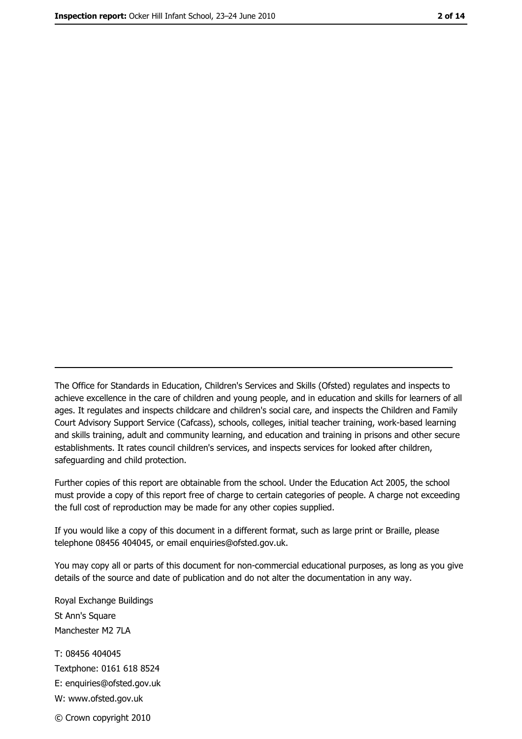The Office for Standards in Education, Children's Services and Skills (Ofsted) regulates and inspects to achieve excellence in the care of children and young people, and in education and skills for learners of all ages. It regulates and inspects childcare and children's social care, and inspects the Children and Family Court Advisory Support Service (Cafcass), schools, colleges, initial teacher training, work-based learning and skills training, adult and community learning, and education and training in prisons and other secure establishments. It rates council children's services, and inspects services for looked after children, safequarding and child protection.

Further copies of this report are obtainable from the school. Under the Education Act 2005, the school must provide a copy of this report free of charge to certain categories of people. A charge not exceeding the full cost of reproduction may be made for any other copies supplied.

If you would like a copy of this document in a different format, such as large print or Braille, please telephone 08456 404045, or email enquiries@ofsted.gov.uk.

You may copy all or parts of this document for non-commercial educational purposes, as long as you give details of the source and date of publication and do not alter the documentation in any way.

Royal Exchange Buildings St Ann's Square Manchester M2 7LA T: 08456 404045 Textphone: 0161 618 8524 E: enquiries@ofsted.gov.uk W: www.ofsted.gov.uk © Crown copyright 2010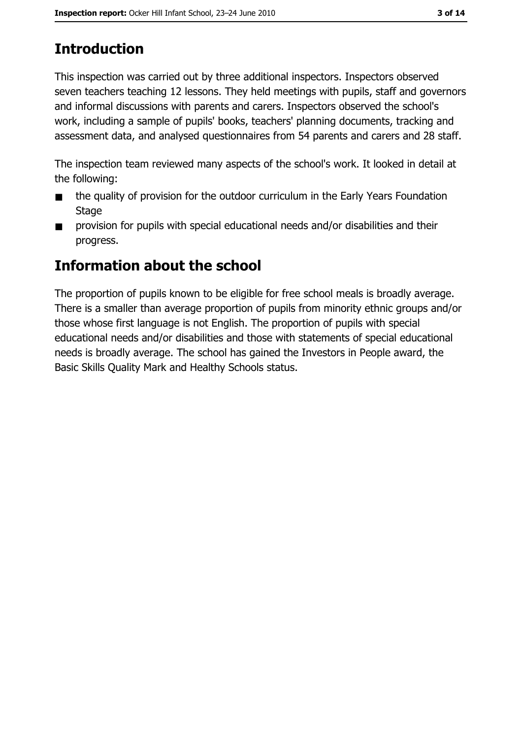# **Introduction**

This inspection was carried out by three additional inspectors. Inspectors observed seven teachers teaching 12 lessons. They held meetings with pupils, staff and governors and informal discussions with parents and carers. Inspectors observed the school's work, including a sample of pupils' books, teachers' planning documents, tracking and assessment data, and analysed questionnaires from 54 parents and carers and 28 staff.

The inspection team reviewed many aspects of the school's work. It looked in detail at the following:

- the quality of provision for the outdoor curriculum in the Early Years Foundation  $\blacksquare$ **Stage**
- provision for pupils with special educational needs and/or disabilities and their  $\blacksquare$ progress.

## Information about the school

The proportion of pupils known to be eligible for free school meals is broadly average. There is a smaller than average proportion of pupils from minority ethnic groups and/or those whose first language is not English. The proportion of pupils with special educational needs and/or disabilities and those with statements of special educational needs is broadly average. The school has gained the Investors in People award, the Basic Skills Quality Mark and Healthy Schools status.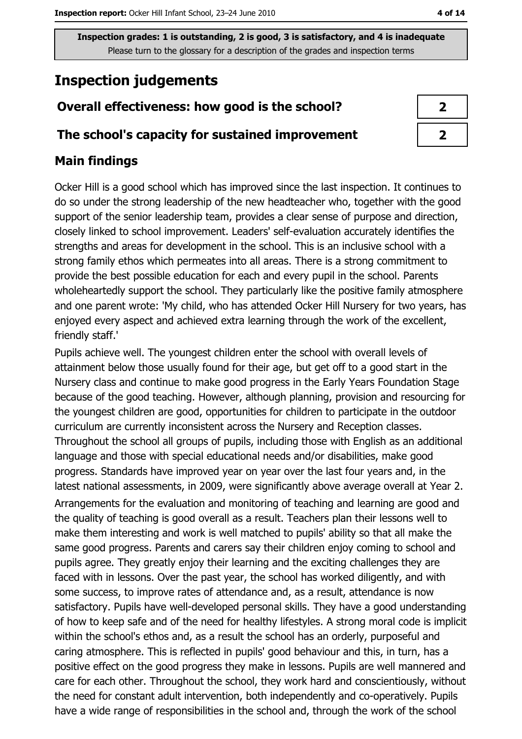# **Inspection judgements**

## Overall effectiveness: how good is the school?

### The school's capacity for sustained improvement

## **Main findings**

Ocker Hill is a good school which has improved since the last inspection. It continues to do so under the strong leadership of the new headteacher who, together with the good support of the senior leadership team, provides a clear sense of purpose and direction, closely linked to school improvement. Leaders' self-evaluation accurately identifies the strengths and areas for development in the school. This is an inclusive school with a strong family ethos which permeates into all areas. There is a strong commitment to provide the best possible education for each and every pupil in the school. Parents wholeheartedly support the school. They particularly like the positive family atmosphere and one parent wrote: 'My child, who has attended Ocker Hill Nursery for two years, has enjoyed every aspect and achieved extra learning through the work of the excellent, friendly staff.'

Pupils achieve well. The youngest children enter the school with overall levels of attainment below those usually found for their age, but get off to a good start in the Nursery class and continue to make good progress in the Early Years Foundation Stage because of the good teaching. However, although planning, provision and resourcing for the youngest children are good, opportunities for children to participate in the outdoor curriculum are currently inconsistent across the Nursery and Reception classes. Throughout the school all groups of pupils, including those with English as an additional language and those with special educational needs and/or disabilities, make good progress. Standards have improved year on year over the last four years and, in the latest national assessments, in 2009, were significantly above average overall at Year 2. Arrangements for the evaluation and monitoring of teaching and learning are good and the quality of teaching is good overall as a result. Teachers plan their lessons well to make them interesting and work is well matched to pupils' ability so that all make the same good progress. Parents and carers say their children enjoy coming to school and pupils agree. They greatly enjoy their learning and the exciting challenges they are faced with in lessons. Over the past year, the school has worked diligently, and with some success, to improve rates of attendance and, as a result, attendance is now satisfactory. Pupils have well-developed personal skills. They have a good understanding of how to keep safe and of the need for healthy lifestyles. A strong moral code is implicit within the school's ethos and, as a result the school has an orderly, purposeful and caring atmosphere. This is reflected in pupils' good behaviour and this, in turn, has a positive effect on the good progress they make in lessons. Pupils are well mannered and care for each other. Throughout the school, they work hard and conscientiously, without the need for constant adult intervention, both independently and co-operatively. Pupils have a wide range of responsibilities in the school and, through the work of the school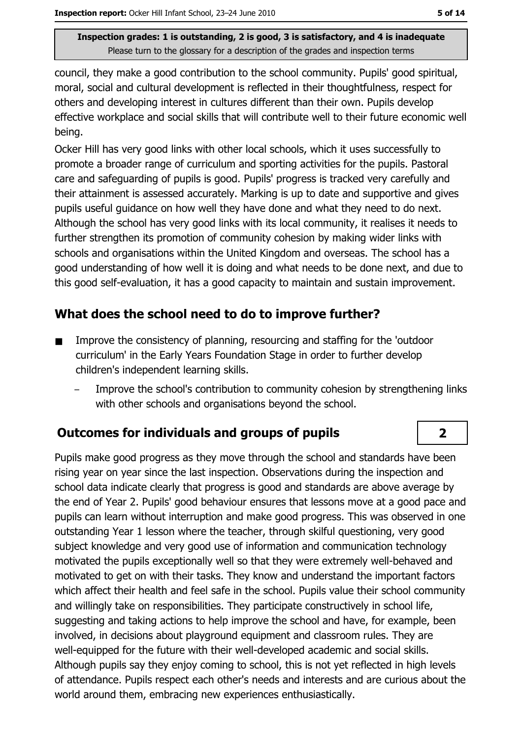council, they make a good contribution to the school community. Pupils' good spiritual, moral, social and cultural development is reflected in their thoughtfulness, respect for others and developing interest in cultures different than their own. Pupils develop effective workplace and social skills that will contribute well to their future economic well being.

Ocker Hill has very good links with other local schools, which it uses successfully to promote a broader range of curriculum and sporting activities for the pupils. Pastoral care and safeguarding of pupils is good. Pupils' progress is tracked very carefully and their attainment is assessed accurately. Marking is up to date and supportive and gives pupils useful quidance on how well they have done and what they need to do next. Although the school has very good links with its local community, it realises it needs to further strengthen its promotion of community cohesion by making wider links with schools and organisations within the United Kingdom and overseas. The school has a good understanding of how well it is doing and what needs to be done next, and due to this good self-evaluation, it has a good capacity to maintain and sustain improvement.

## What does the school need to do to improve further?

- Improve the consistency of planning, resourcing and staffing for the 'outdoor  $\blacksquare$ curriculum' in the Early Years Foundation Stage in order to further develop children's independent learning skills.
	- Improve the school's contribution to community cohesion by strengthening links with other schools and organisations beyond the school.

## **Outcomes for individuals and groups of pupils**

Pupils make good progress as they move through the school and standards have been rising year on year since the last inspection. Observations during the inspection and school data indicate clearly that progress is good and standards are above average by the end of Year 2. Pupils' good behaviour ensures that lessons move at a good pace and pupils can learn without interruption and make good progress. This was observed in one outstanding Year 1 lesson where the teacher, through skilful questioning, very good subject knowledge and very good use of information and communication technology motivated the pupils exceptionally well so that they were extremely well-behaved and motivated to get on with their tasks. They know and understand the important factors which affect their health and feel safe in the school. Pupils value their school community and willingly take on responsibilities. They participate constructively in school life, suggesting and taking actions to help improve the school and have, for example, been involved, in decisions about playground equipment and classroom rules. They are well-equipped for the future with their well-developed academic and social skills. Although pupils say they enjoy coming to school, this is not yet reflected in high levels of attendance. Pupils respect each other's needs and interests and are curious about the world around them, embracing new experiences enthusiastically.

 $\overline{\mathbf{2}}$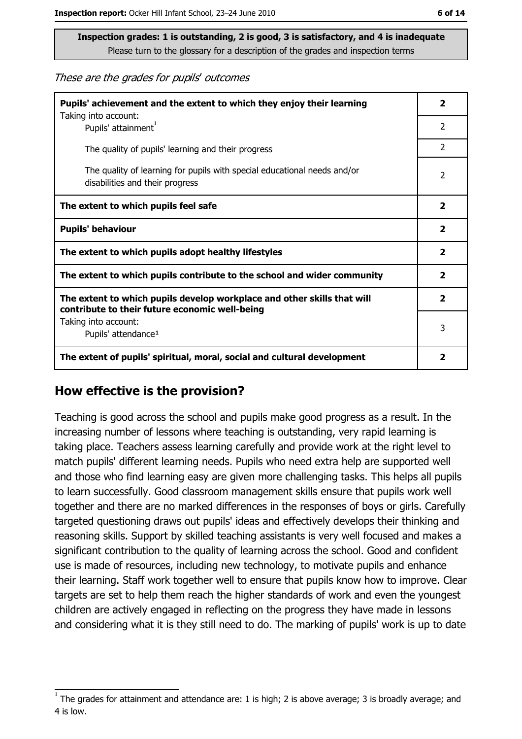These are the grades for pupils' outcomes

| Pupils' achievement and the extent to which they enjoy their learning                                                     |                         |
|---------------------------------------------------------------------------------------------------------------------------|-------------------------|
| Taking into account:<br>Pupils' attainment <sup>1</sup>                                                                   | 2                       |
| The quality of pupils' learning and their progress                                                                        | $\overline{2}$          |
| The quality of learning for pupils with special educational needs and/or<br>disabilities and their progress               | 2                       |
| The extent to which pupils feel safe                                                                                      | $\mathbf{2}$            |
| <b>Pupils' behaviour</b>                                                                                                  |                         |
| The extent to which pupils adopt healthy lifestyles                                                                       | $\overline{\mathbf{2}}$ |
| The extent to which pupils contribute to the school and wider community                                                   |                         |
| The extent to which pupils develop workplace and other skills that will<br>contribute to their future economic well-being |                         |
| Taking into account:<br>Pupils' attendance <sup>1</sup>                                                                   |                         |
| The extent of pupils' spiritual, moral, social and cultural development                                                   |                         |

#### How effective is the provision?

Teaching is good across the school and pupils make good progress as a result. In the increasing number of lessons where teaching is outstanding, very rapid learning is taking place. Teachers assess learning carefully and provide work at the right level to match pupils' different learning needs. Pupils who need extra help are supported well and those who find learning easy are given more challenging tasks. This helps all pupils to learn successfully. Good classroom management skills ensure that pupils work well together and there are no marked differences in the responses of boys or girls. Carefully targeted questioning draws out pupils' ideas and effectively develops their thinking and reasoning skills. Support by skilled teaching assistants is very well focused and makes a significant contribution to the quality of learning across the school. Good and confident use is made of resources, including new technology, to motivate pupils and enhance their learning. Staff work together well to ensure that pupils know how to improve. Clear targets are set to help them reach the higher standards of work and even the youngest children are actively engaged in reflecting on the progress they have made in lessons and considering what it is they still need to do. The marking of pupils' work is up to date

The grades for attainment and attendance are: 1 is high; 2 is above average; 3 is broadly average; and 4 is low.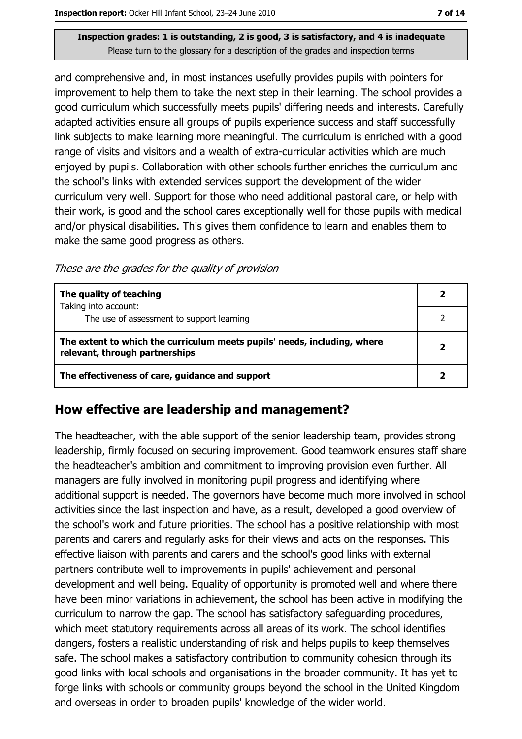and comprehensive and, in most instances usefully provides pupils with pointers for improvement to help them to take the next step in their learning. The school provides a good curriculum which successfully meets pupils' differing needs and interests. Carefully adapted activities ensure all groups of pupils experience success and staff successfully link subjects to make learning more meaningful. The curriculum is enriched with a good range of visits and visitors and a wealth of extra-curricular activities which are much enjoyed by pupils. Collaboration with other schools further enriches the curriculum and the school's links with extended services support the development of the wider curriculum very well. Support for those who need additional pastoral care, or help with their work, is good and the school cares exceptionally well for those pupils with medical and/or physical disabilities. This gives them confidence to learn and enables them to make the same good progress as others.

These are the grades for the quality of provision

| The quality of teaching                                                                                    |  |
|------------------------------------------------------------------------------------------------------------|--|
| Taking into account:<br>The use of assessment to support learning                                          |  |
| The extent to which the curriculum meets pupils' needs, including, where<br>relevant, through partnerships |  |
| The effectiveness of care, guidance and support                                                            |  |

## How effective are leadership and management?

The headteacher, with the able support of the senior leadership team, provides strong leadership, firmly focused on securing improvement. Good teamwork ensures staff share the headteacher's ambition and commitment to improving provision even further. All managers are fully involved in monitoring pupil progress and identifying where additional support is needed. The governors have become much more involved in school activities since the last inspection and have, as a result, developed a good overview of the school's work and future priorities. The school has a positive relationship with most parents and carers and regularly asks for their views and acts on the responses. This effective liaison with parents and carers and the school's good links with external partners contribute well to improvements in pupils' achievement and personal development and well being. Equality of opportunity is promoted well and where there have been minor variations in achievement, the school has been active in modifying the curriculum to narrow the gap. The school has satisfactory safeguarding procedures, which meet statutory requirements across all areas of its work. The school identifies dangers, fosters a realistic understanding of risk and helps pupils to keep themselves safe. The school makes a satisfactory contribution to community cohesion through its good links with local schools and organisations in the broader community. It has yet to forge links with schools or community groups beyond the school in the United Kingdom and overseas in order to broaden pupils' knowledge of the wider world.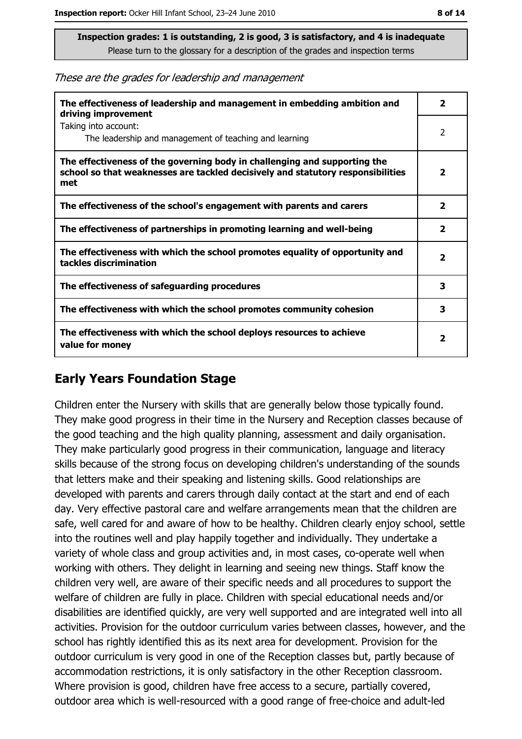These are the grades for leadership and management

| The effectiveness of leadership and management in embedding ambition and<br>driving improvement                                                                     | 2                       |
|---------------------------------------------------------------------------------------------------------------------------------------------------------------------|-------------------------|
| Taking into account:<br>The leadership and management of teaching and learning                                                                                      | 2                       |
| The effectiveness of the governing body in challenging and supporting the<br>school so that weaknesses are tackled decisively and statutory responsibilities<br>met | $\overline{\mathbf{2}}$ |
| The effectiveness of the school's engagement with parents and carers                                                                                                | $\overline{\mathbf{2}}$ |
| The effectiveness of partnerships in promoting learning and well-being                                                                                              | 2                       |
| The effectiveness with which the school promotes equality of opportunity and<br>tackles discrimination                                                              | $\overline{\mathbf{2}}$ |
| The effectiveness of safeguarding procedures                                                                                                                        | 3                       |
| The effectiveness with which the school promotes community cohesion                                                                                                 | 3                       |
| The effectiveness with which the school deploys resources to achieve<br>value for money                                                                             | $\overline{\mathbf{2}}$ |

## **Early Years Foundation Stage**

Children enter the Nursery with skills that are generally below those typically found. They make good progress in their time in the Nursery and Reception classes because of the good teaching and the high quality planning, assessment and daily organisation. They make particularly good progress in their communication, language and literacy skills because of the strong focus on developing children's understanding of the sounds that letters make and their speaking and listening skills. Good relationships are developed with parents and carers through daily contact at the start and end of each day. Very effective pastoral care and welfare arrangements mean that the children are safe, well cared for and aware of how to be healthy. Children clearly enjoy school, settle into the routines well and play happily together and individually. They undertake a variety of whole class and group activities and, in most cases, co-operate well when working with others. They delight in learning and seeing new things. Staff know the children very well, are aware of their specific needs and all procedures to support the welfare of children are fully in place. Children with special educational needs and/or disabilities are identified quickly, are very well supported and are integrated well into all activities. Provision for the outdoor curriculum varies between classes, however, and the school has rightly identified this as its next area for development. Provision for the outdoor curriculum is very good in one of the Reception classes but, partly because of accommodation restrictions, it is only satisfactory in the other Reception classroom. Where provision is good, children have free access to a secure, partially covered, outdoor area which is well-resourced with a good range of free-choice and adult-led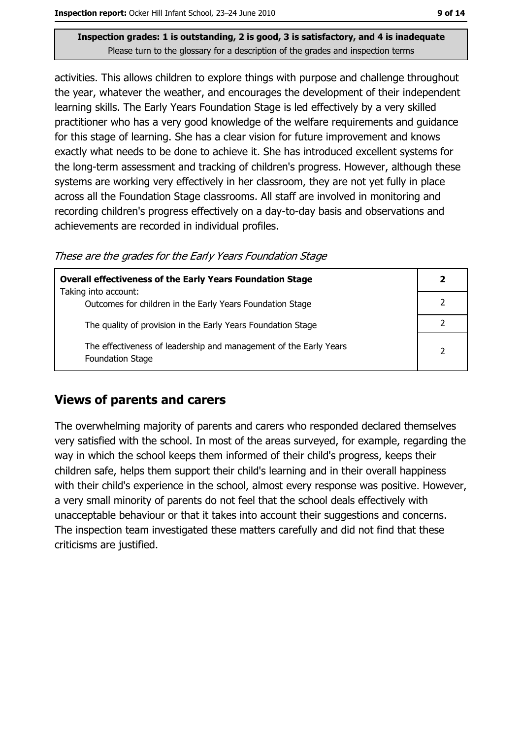activities. This allows children to explore things with purpose and challenge throughout the year, whatever the weather, and encourages the development of their independent learning skills. The Early Years Foundation Stage is led effectively by a very skilled practitioner who has a very good knowledge of the welfare requirements and guidance for this stage of learning. She has a clear vision for future improvement and knows exactly what needs to be done to achieve it. She has introduced excellent systems for the long-term assessment and tracking of children's progress. However, although these systems are working very effectively in her classroom, they are not yet fully in place across all the Foundation Stage classrooms. All staff are involved in monitoring and recording children's progress effectively on a day-to-day basis and observations and achievements are recorded in individual profiles.

These are the grades for the Early Years Foundation Stage

| <b>Overall effectiveness of the Early Years Foundation Stage</b>                             |                |
|----------------------------------------------------------------------------------------------|----------------|
| Taking into account:<br>Outcomes for children in the Early Years Foundation Stage            |                |
| The quality of provision in the Early Years Foundation Stage                                 |                |
| The effectiveness of leadership and management of the Early Years<br><b>Foundation Stage</b> | $\overline{2}$ |

## **Views of parents and carers**

The overwhelming majority of parents and carers who responded declared themselves very satisfied with the school. In most of the areas surveyed, for example, regarding the way in which the school keeps them informed of their child's progress, keeps their children safe, helps them support their child's learning and in their overall happiness with their child's experience in the school, almost every response was positive. However, a very small minority of parents do not feel that the school deals effectively with unacceptable behaviour or that it takes into account their suggestions and concerns. The inspection team investigated these matters carefully and did not find that these criticisms are justified.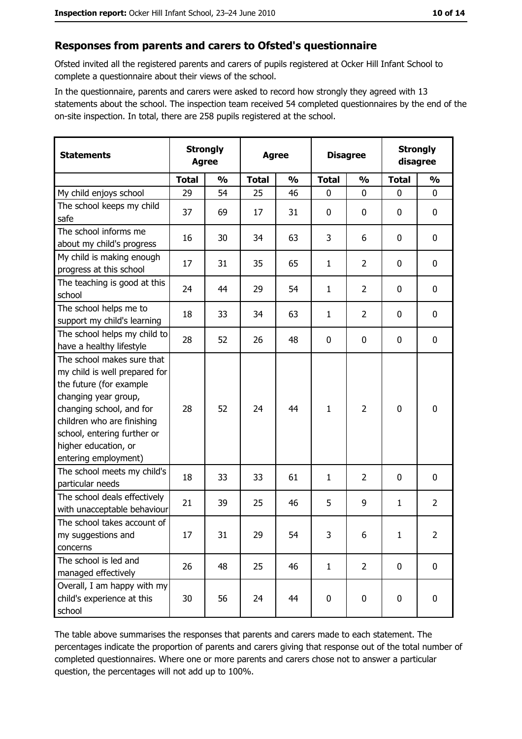## Responses from parents and carers to Ofsted's questionnaire

Ofsted invited all the registered parents and carers of pupils registered at Ocker Hill Infant School to complete a questionnaire about their views of the school.

In the questionnaire, parents and carers were asked to record how strongly they agreed with 13 statements about the school. The inspection team received 54 completed questionnaires by the end of the on-site inspection. In total, there are 258 pupils registered at the school.

| <b>Statements</b>                                                                                                                                                                                                                                       | <b>Strongly</b><br><b>Agree</b> |               | <b>Agree</b> |               | <b>Disagree</b> |                | <b>Strongly</b><br>disagree |                |
|---------------------------------------------------------------------------------------------------------------------------------------------------------------------------------------------------------------------------------------------------------|---------------------------------|---------------|--------------|---------------|-----------------|----------------|-----------------------------|----------------|
|                                                                                                                                                                                                                                                         | <b>Total</b>                    | $\frac{0}{0}$ | <b>Total</b> | $\frac{0}{0}$ | <b>Total</b>    | $\frac{0}{0}$  | <b>Total</b>                | $\frac{0}{0}$  |
| My child enjoys school                                                                                                                                                                                                                                  | 29                              | 54            | 25           | 46            | $\mathbf 0$     | 0              | $\mathbf{0}$                | $\mathbf{0}$   |
| The school keeps my child<br>safe                                                                                                                                                                                                                       | 37                              | 69            | 17           | 31            | $\mathbf 0$     | 0              | 0                           | 0              |
| The school informs me<br>about my child's progress                                                                                                                                                                                                      | 16                              | 30            | 34           | 63            | 3               | 6              | 0                           | $\mathbf 0$    |
| My child is making enough<br>progress at this school                                                                                                                                                                                                    | 17                              | 31            | 35           | 65            | $\mathbf{1}$    | $\overline{2}$ | 0                           | 0              |
| The teaching is good at this<br>school                                                                                                                                                                                                                  | 24                              | 44            | 29           | 54            | $\mathbf{1}$    | $\overline{2}$ | 0                           | $\mathbf 0$    |
| The school helps me to<br>support my child's learning                                                                                                                                                                                                   | 18                              | 33            | 34           | 63            | $\mathbf{1}$    | $\overline{2}$ | 0                           | 0              |
| The school helps my child to<br>have a healthy lifestyle                                                                                                                                                                                                | 28                              | 52            | 26           | 48            | $\mathbf 0$     | 0              | 0                           | 0              |
| The school makes sure that<br>my child is well prepared for<br>the future (for example<br>changing year group,<br>changing school, and for<br>children who are finishing<br>school, entering further or<br>higher education, or<br>entering employment) | 28                              | 52            | 24           | 44            | $\mathbf{1}$    | $\overline{2}$ | $\mathbf 0$                 | 0              |
| The school meets my child's<br>particular needs                                                                                                                                                                                                         | 18                              | 33            | 33           | 61            | $\mathbf{1}$    | $\overline{2}$ | 0                           | $\mathbf 0$    |
| The school deals effectively<br>with unacceptable behaviour                                                                                                                                                                                             | 21                              | 39            | 25           | 46            | 5               | 9              | $\mathbf{1}$                | $\overline{2}$ |
| The school takes account of<br>my suggestions and<br>concerns                                                                                                                                                                                           | 17                              | 31            | 29           | 54            | $\overline{3}$  | 6              | $\mathbf{1}$                | $\overline{2}$ |
| The school is led and<br>managed effectively                                                                                                                                                                                                            | 26                              | 48            | 25           | 46            | $\mathbf{1}$    | $\overline{2}$ | $\bf{0}$                    | $\mathbf 0$    |
| Overall, I am happy with my<br>child's experience at this<br>school                                                                                                                                                                                     | 30                              | 56            | 24           | 44            | $\pmb{0}$       | $\pmb{0}$      | $\mathbf 0$                 | $\mathbf 0$    |

The table above summarises the responses that parents and carers made to each statement. The percentages indicate the proportion of parents and carers giving that response out of the total number of completed questionnaires. Where one or more parents and carers chose not to answer a particular question, the percentages will not add up to 100%.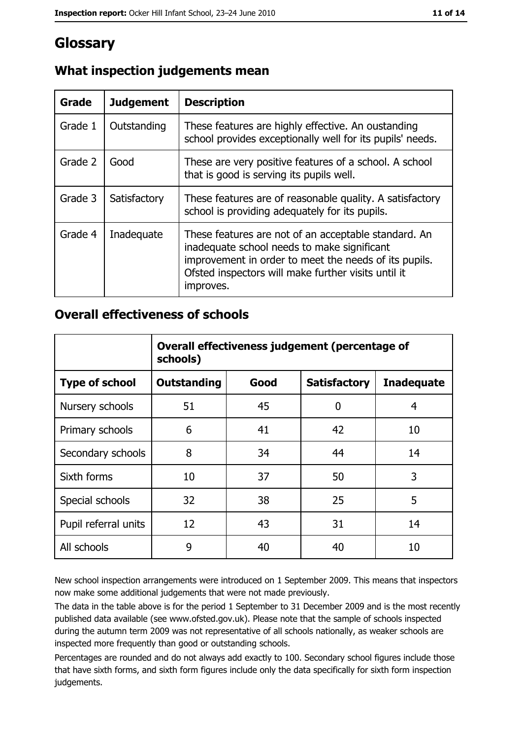## Glossary

| Grade   | <b>Judgement</b> | <b>Description</b>                                                                                                                                                                                                               |
|---------|------------------|----------------------------------------------------------------------------------------------------------------------------------------------------------------------------------------------------------------------------------|
| Grade 1 | Outstanding      | These features are highly effective. An oustanding<br>school provides exceptionally well for its pupils' needs.                                                                                                                  |
| Grade 2 | Good             | These are very positive features of a school. A school<br>that is good is serving its pupils well.                                                                                                                               |
| Grade 3 | Satisfactory     | These features are of reasonable quality. A satisfactory<br>school is providing adequately for its pupils.                                                                                                                       |
| Grade 4 | Inadequate       | These features are not of an acceptable standard. An<br>inadequate school needs to make significant<br>improvement in order to meet the needs of its pupils.<br>Ofsted inspectors will make further visits until it<br>improves. |

## What inspection judgements mean

## **Overall effectiveness of schools**

|                       | Overall effectiveness judgement (percentage of<br>schools) |      |                     |                   |
|-----------------------|------------------------------------------------------------|------|---------------------|-------------------|
| <b>Type of school</b> | <b>Outstanding</b>                                         | Good | <b>Satisfactory</b> | <b>Inadequate</b> |
| Nursery schools       | 51                                                         | 45   | 0                   | 4                 |
| Primary schools       | 6                                                          | 41   | 42                  | 10                |
| Secondary schools     | 8                                                          | 34   | 44                  | 14                |
| Sixth forms           | 10                                                         | 37   | 50                  | 3                 |
| Special schools       | 32                                                         | 38   | 25                  | 5                 |
| Pupil referral units  | 12                                                         | 43   | 31                  | 14                |
| All schools           | 9                                                          | 40   | 40                  | 10                |

New school inspection arrangements were introduced on 1 September 2009. This means that inspectors now make some additional judgements that were not made previously.

The data in the table above is for the period 1 September to 31 December 2009 and is the most recently published data available (see www.ofsted.gov.uk). Please note that the sample of schools inspected during the autumn term 2009 was not representative of all schools nationally, as weaker schools are inspected more frequently than good or outstanding schools.

Percentages are rounded and do not always add exactly to 100. Secondary school figures include those that have sixth forms, and sixth form figures include only the data specifically for sixth form inspection judgements.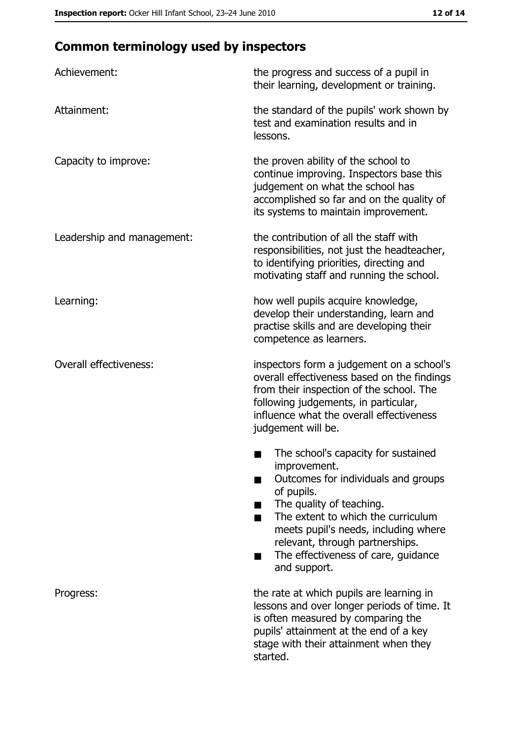# **Common terminology used by inspectors**

| Achievement:                  | the progress and success of a pupil in<br>their learning, development or training.                                                                                                                                                                                                                           |
|-------------------------------|--------------------------------------------------------------------------------------------------------------------------------------------------------------------------------------------------------------------------------------------------------------------------------------------------------------|
| Attainment:                   | the standard of the pupils' work shown by<br>test and examination results and in<br>lessons.                                                                                                                                                                                                                 |
| Capacity to improve:          | the proven ability of the school to<br>continue improving. Inspectors base this<br>judgement on what the school has<br>accomplished so far and on the quality of<br>its systems to maintain improvement.                                                                                                     |
| Leadership and management:    | the contribution of all the staff with<br>responsibilities, not just the headteacher,<br>to identifying priorities, directing and<br>motivating staff and running the school.                                                                                                                                |
| Learning:                     | how well pupils acquire knowledge,<br>develop their understanding, learn and<br>practise skills and are developing their<br>competence as learners.                                                                                                                                                          |
| <b>Overall effectiveness:</b> | inspectors form a judgement on a school's<br>overall effectiveness based on the findings<br>from their inspection of the school. The<br>following judgements, in particular,<br>influence what the overall effectiveness<br>judgement will be.                                                               |
|                               | The school's capacity for sustained<br>improvement.<br>Outcomes for individuals and groups<br>of pupils.<br>The quality of teaching.<br>The extent to which the curriculum<br>meets pupil's needs, including where<br>relevant, through partnerships.<br>The effectiveness of care, guidance<br>and support. |
| Progress:                     | the rate at which pupils are learning in<br>lessons and over longer periods of time. It<br>is often measured by comparing the<br>pupils' attainment at the end of a key<br>stage with their attainment when they<br>started.                                                                                 |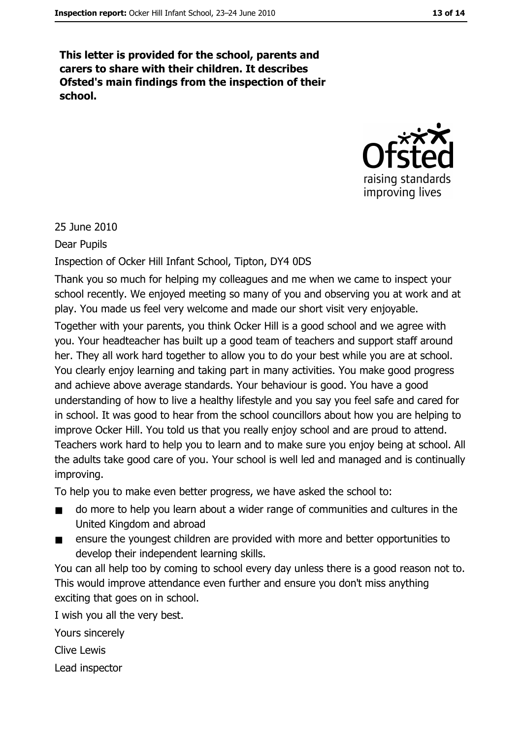This letter is provided for the school, parents and carers to share with their children. It describes Ofsted's main findings from the inspection of their school.



25 June 2010

**Dear Pupils** 

Inspection of Ocker Hill Infant School, Tipton, DY4 0DS

Thank you so much for helping my colleagues and me when we came to inspect your school recently. We enjoyed meeting so many of you and observing you at work and at play. You made us feel very welcome and made our short visit very enjoyable. Together with your parents, you think Ocker Hill is a good school and we agree with you. Your headteacher has built up a good team of teachers and support staff around her. They all work hard together to allow you to do your best while you are at school. You clearly enjoy learning and taking part in many activities. You make good progress and achieve above average standards. Your behaviour is good. You have a good understanding of how to live a healthy lifestyle and you say you feel safe and cared for in school. It was good to hear from the school councillors about how you are helping to improve Ocker Hill. You told us that you really enjoy school and are proud to attend. Teachers work hard to help you to learn and to make sure you enjoy being at school. All the adults take good care of you. Your school is well led and managed and is continually improving.

To help you to make even better progress, we have asked the school to:

- do more to help you learn about a wider range of communities and cultures in the  $\blacksquare$ United Kingdom and abroad
- ensure the youngest children are provided with more and better opportunities to  $\blacksquare$ develop their independent learning skills.

You can all help too by coming to school every day unless there is a good reason not to. This would improve attendance even further and ensure you don't miss anything exciting that goes on in school.

I wish you all the very best. Yours sincerely Clive Lewis

Lead inspector